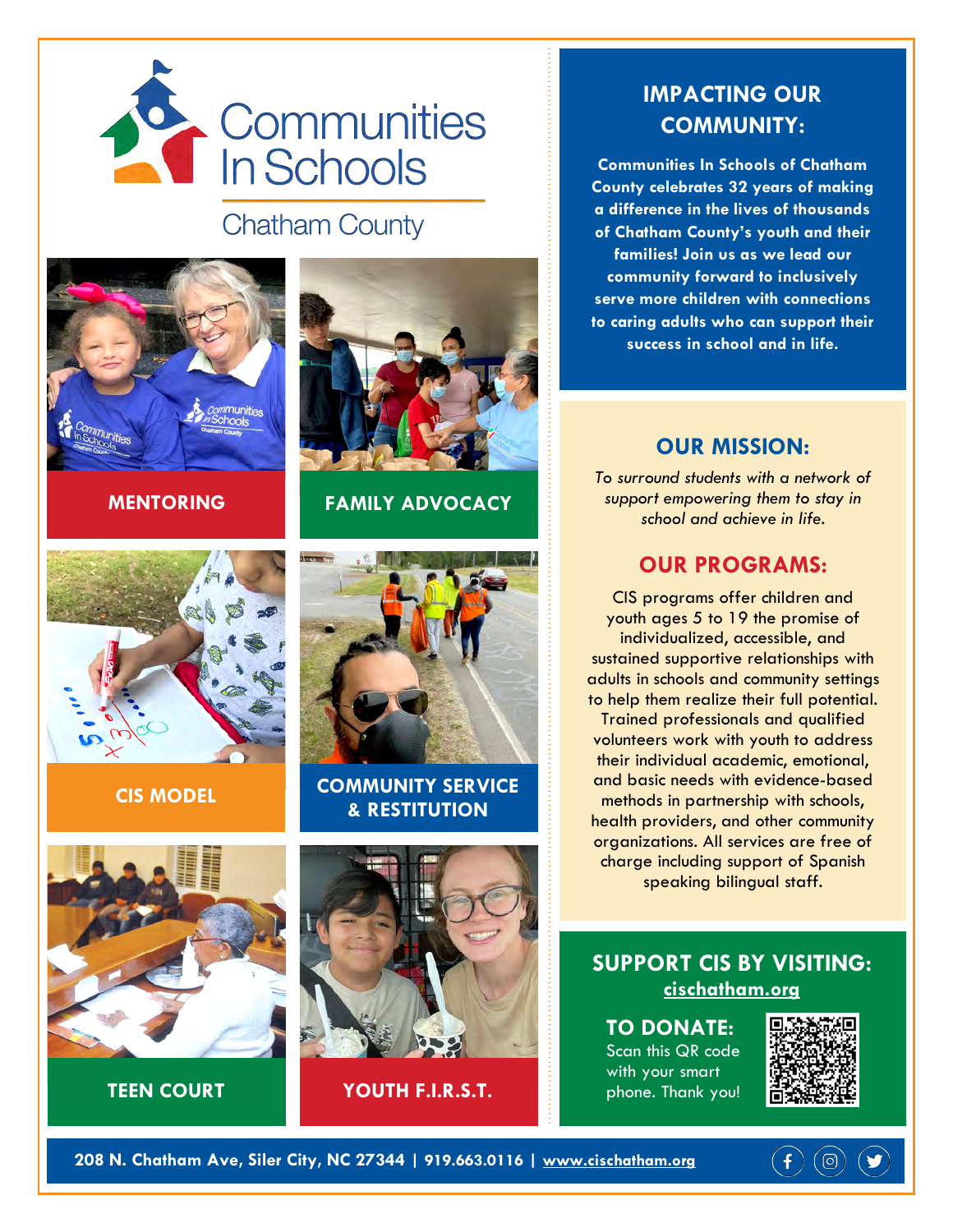

## **Chatham County**







**MENTORING FAMILY ADVOCACY**



**CIS MODEL COMMUNITY SERVICE & RESTITUTION**



**TEEN COURT YOUTH F.I.R.S.T.**

### **IMPACTING OUR COMMUNITY:**

**Communities In Schools of Chatham County celebrates 32 years of making a difference in the lives of thousands of Chatham County's youth and their families! Join us as we lead our community forward to inclusively serve more children with connections to caring adults who can support their success in school and in life.**

### **OUR MISSION:**

*To surround students with a network of support empowering them to stay in school and achieve in life.* 

#### **OUR PROGRAMS:**

CIS programs offer children and youth ages 5 to 19 the promise of individualized, accessible, and sustained supportive relationships with adults in schools and community settings to help them realize their full potential. Trained professionals and qualified volunteers work with youth to address their individual academic, emotional, and basic needs with evidence-based methods in partnership with schools, health providers, and other community organizations. All services are free of charge including support of Spanish speaking bilingual staff.

**SUPPORT CIS BY VISITING: cischatham.org**

**TO DONATE:**  Scan this QR code with your smart phone. Thank you!



 $(\circledcirc)$ 

 $\vert f \vert$